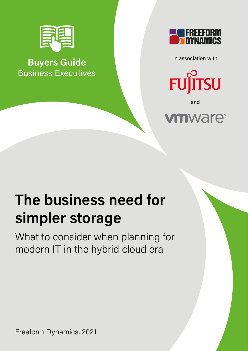

**Buyers Guide** Business Executives



in association with



and



# **The business need for simpler storage**

What to consider when planning for modern IT in the hybrid cloud era

Freeform Dynamics, 2021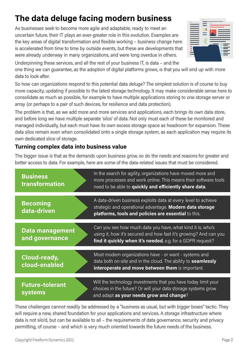These challenges cannot readily be addressed by a "business as usual, but with bigger boxes" tactic. They will require a new, shared foundation for your applications and services. A storage infrastructure where data is not silo'd, but can be available to all – the requirements of data governance, security and privacy permitting, of course – and which is very much oriented towards the future needs of the business.

### **The data deluge facing modern business**

As businesses seek to become more agile and adaptable, ready to meet an uncertain future, their IT plays an ever-greater role in this evolution. Examples are the key areas of digital transformation and flexible working – business change here is accelerated from time to time by outside events, but these are developments that were already underway in many organizations, and were long overdue in others.

Underpinning these services, and all the rest of your business IT, is data – and the one thing we can guarantee, as the adoption of digital platforms grows, is that you will end up with more data to look after.

So how can organizations respond to this potential data deluge? The simplest solution is of course to buy more capacity, updating if possible to the latest storage technology. It may make considerable sense here to consolidate as much as possible, for example to have multiple applications storing to one storage server or array (or perhaps to a pair of such devices, for resilience and data protection).

The problem is that, as we add more and more services and applications, each brings its own data store, and before long we have multiple separate 'silos' of data. Not only must each of these be monitored and managed individually, but each must have its own excess storage space as headroom for expansion. These data silos remain even when consolidated onto a single storage system, as each application may require its own dedicated slice of storage.

#### **Turning complex data into business value**

The bigger issue is that as the demands upon business grow, so do the needs and reasons for greater and better access to data. For example, here are some of the data-related issues that must be considered.

| <b>Business</b><br>transformation        | In the search for agility, organizations have moved more and<br>more processes and work online. This means their software tools<br>need to be able to quickly and efficiently share data.     |
|------------------------------------------|-----------------------------------------------------------------------------------------------------------------------------------------------------------------------------------------------|
|                                          |                                                                                                                                                                                               |
| <b>Becoming</b><br>data-driven           | A data-driven business exploits data at every level to achieve<br>strategic and operational advantage. Modern data storage<br>platforms, tools and policies are essential to this.            |
| Data management<br>and governance        | Can you see how much data you have, what kind it is, who's<br>using it, how it's secured and how fast it's growing? And can you<br>find it quickly when it's needed, e.g. for a GDPR request? |
| <b>Cloud-ready,</b><br>cloud-enabled     | Most modern organizations have - or want - systems and<br>data both on-site and in the cloud. The ability to seamlessly<br>interoperate and move between them is important.                   |
| <b>Future-tolerant</b><br><b>systems</b> | Will the technology investments that you have today limit your<br>choices in the future? Or will your data storage systems grow                                                               |
|                                          | and adapt as your needs grow and change?                                                                                                                                                      |

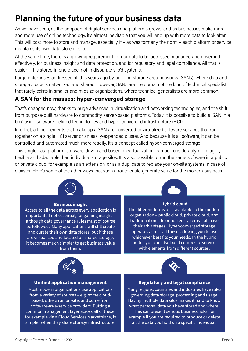## **Planning the future of your business data**

As we have seen, as the adoption of digital services and platforms grows, and as businesses make more and more use of online technology, it's almost inevitable that you will end up with more data to look after. This will cost more to store and manage, especially if – as was formerly the norm – each platform or service maintains its own data store or silo.

At the same time, there is a growing requirement for our data to be accessed, managed and governed effectively, for business insight and data protection, and for regulatory and legal compliance. All that is easier if it is stored in one place, not in disparate silo'd systems.

Large enterprises addressed all this years ago by building storage area networks (SANs), where data and storage space is networked and shared. However, SANs are the domain of the kind of technical specialist that rarely exists in smaller and midsize organizations, where technical generalists are more common.

#### **A SAN for the masses: hyper-converged storage**

That's changed now, thanks to huge advances in virtualization and networking technologies, and the shift from purpose-built hardware to commodity server-based platforms. Today, it is possible to build a 'SAN in a box' using software-defined technologies and hyper-converged infrastructure (HCI).

In effect, all the elements that make up a SAN are converted to virtualized software services that run together on a single HCI server or an easily-expanded cluster. And because it is all software, it can be controlled and automated much more readily. It's a concept called hyper-converged storage.

This single data platform, software-driven and based on virtualization, can be considerably more agile, flexible and adaptable than individual storage silos. It is also possible to run the same software in a public or private cloud, for example as an extension, or as a duplicate to replace your on-site systems in case of disaster. Here's some of the other ways that such a route could generate value for the modern business.



#### **Business insight**

Access to all the data across every application is important, if not essential, for gaining insight – although data governance rules must of course be followed. Many applications will still create and curate their own data stores, but if these are virtualized and located on shared storage, it becomes much simpler to get business value from them.



#### **Hybrid cloud**

The different forms of IT available to the modern organization – public cloud, private cloud, and traditional on-site or hosted systems – all have their advantages. Hyper-converged storage operates across all these, allowing you to use whichever best fits your needs. In the hybrid model, you can also build composite services with elements from different sources.



#### **Unified application management**

Most modern organizations use applications from a variety of sources – e.g. some cloudbased, others run on-site, and some from software-as-a-service providers. Putting a common management layer across all of these, for example via a Cloud Services Marketplace, is simpler when they share storage infrastructure.



#### **Regulatory and legal compliance**

Many regions, countries and industries have rules governing data storage, processing and usage. Having multiple data silos makes it hard to know what personal data you have stored and where. This can present serious business risks, for example if you are required to produce or delete all the data you hold on a specific individual.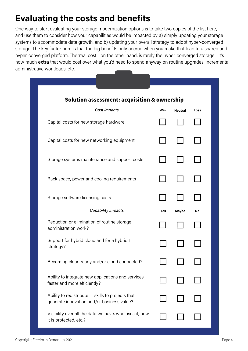### **Evaluating the costs and benefits**

One way to start evaluating your storage modernization options is to take two copies of the list here, and use them to consider how your capabilities would be impacted by a) simply updating your storage systems to accommodate data growth, and b) updating your overall strategy to adopt hyper-converged storage. The key factor here is that the big benefits only accrue when you make that leap to a shared and hyper-converged platform. The 'real cost' , on the other hand, is rarely the hyper-converged storage - it's how much extra that would cost over what you'd need to spend anyway on routine upgrades, incremental administrative workloads, etc.

| Solution assessment: acquisition & ownership                                                     |  |              |      |  |
|--------------------------------------------------------------------------------------------------|--|--------------|------|--|
| Cost impacts                                                                                     |  | Neutral      | Loss |  |
| Capital costs for new storage hardware                                                           |  |              |      |  |
| Capital costs for new networking equipment                                                       |  |              |      |  |
| Storage systems maintenance and support costs                                                    |  |              |      |  |
| Rack space, power and cooling requirements                                                       |  |              |      |  |
| Storage software licensing costs                                                                 |  |              |      |  |
| Capability impacts                                                                               |  | <b>Maybe</b> | No   |  |
| Reduction or elimination of routine storage<br>administration work?                              |  |              |      |  |
| Support for hybrid cloud and for a hybrid IT<br>strategy?                                        |  |              |      |  |
| Becoming cloud ready and/or cloud connected?                                                     |  |              |      |  |
| Ability to integrate new applications and services<br>faster and more efficiently?               |  |              |      |  |
| Ability to redistribute IT skills to projects that<br>generate innovation and/or business value? |  |              |      |  |
| Visibility over all the data we have, who uses it, how<br>it is protected, etc.?                 |  |              |      |  |